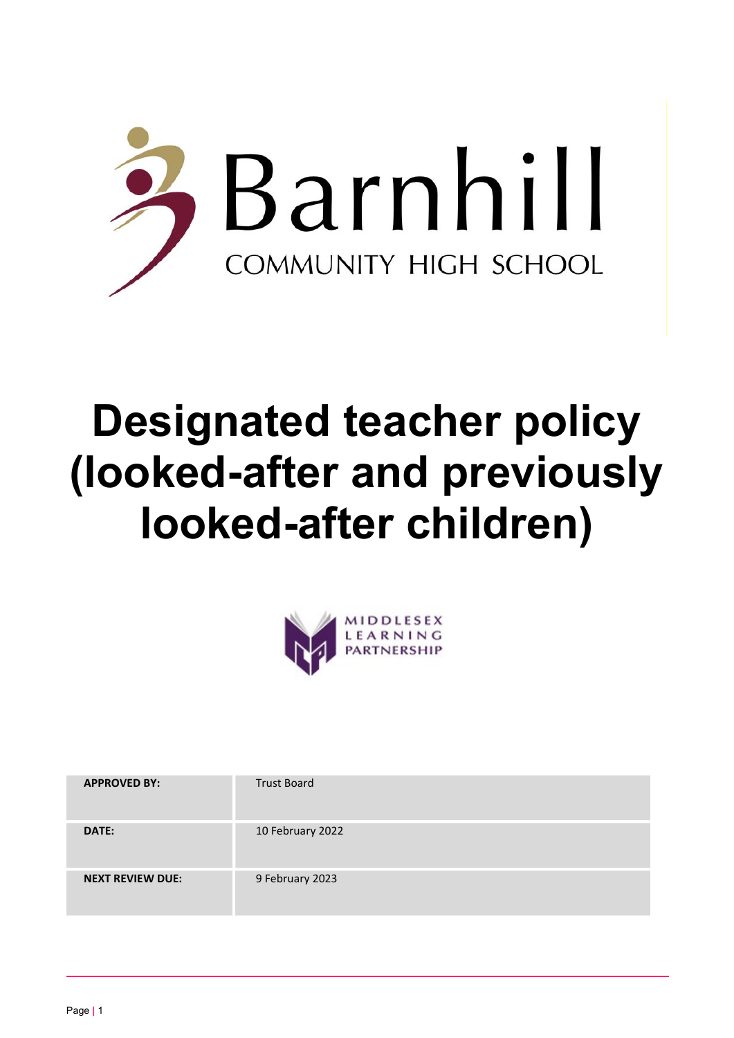

# Designated teacher policy (looked-after and previously looked-after children)



| <b>APPROVED BY:</b>     | <b>Trust Board</b> |
|-------------------------|--------------------|
| DATE:                   | 10 February 2022   |
| <b>NEXT REVIEW DUE:</b> | 9 February 2023    |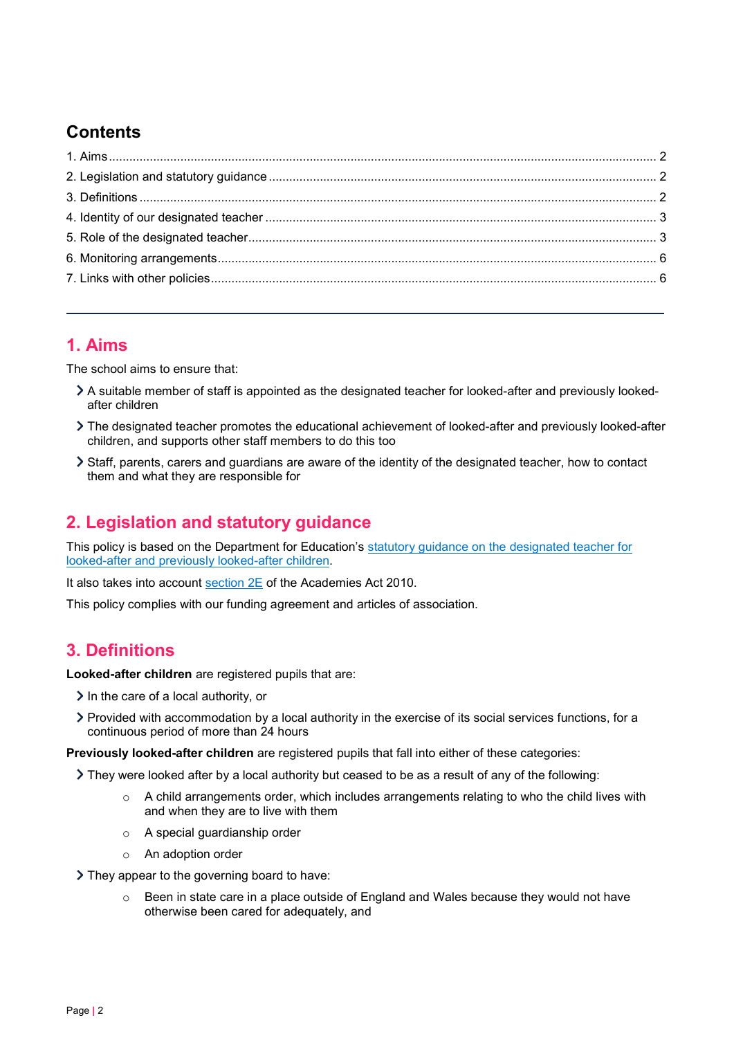# **Contents**

## 1. Aims

The school aims to ensure that:

- A suitable member of staff is appointed as the designated teacher for looked-after and previously lookedafter children
- The designated teacher promotes the educational achievement of looked-after and previously looked-after children, and supports other staff members to do this too
- Staff, parents, carers and guardians are aware of the identity of the designated teacher, how to contact them and what they are responsible for

## 2. Legislation and statutory guidance

This policy is based on the Department for Education's statutory guidance on the designated teacher for looked-after and previously looked-after children.

It also takes into account section 2E of the Academies Act 2010.

This policy complies with our funding agreement and articles of association.

## 3. Definitions

Looked-after children are registered pupils that are:

- $\geq$  In the care of a local authority, or
- Provided with accommodation by a local authority in the exercise of its social services functions, for a continuous period of more than 24 hours

Previously looked-after children are registered pupils that fall into either of these categories:

- They were looked after by a local authority but ceased to be as a result of any of the following:
	- $\circ$  A child arrangements order, which includes arrangements relating to who the child lives with and when they are to live with them
	- o A special guardianship order
	- o An adoption order

> They appear to the governing board to have:

o Been in state care in a place outside of England and Wales because they would not have otherwise been cared for adequately, and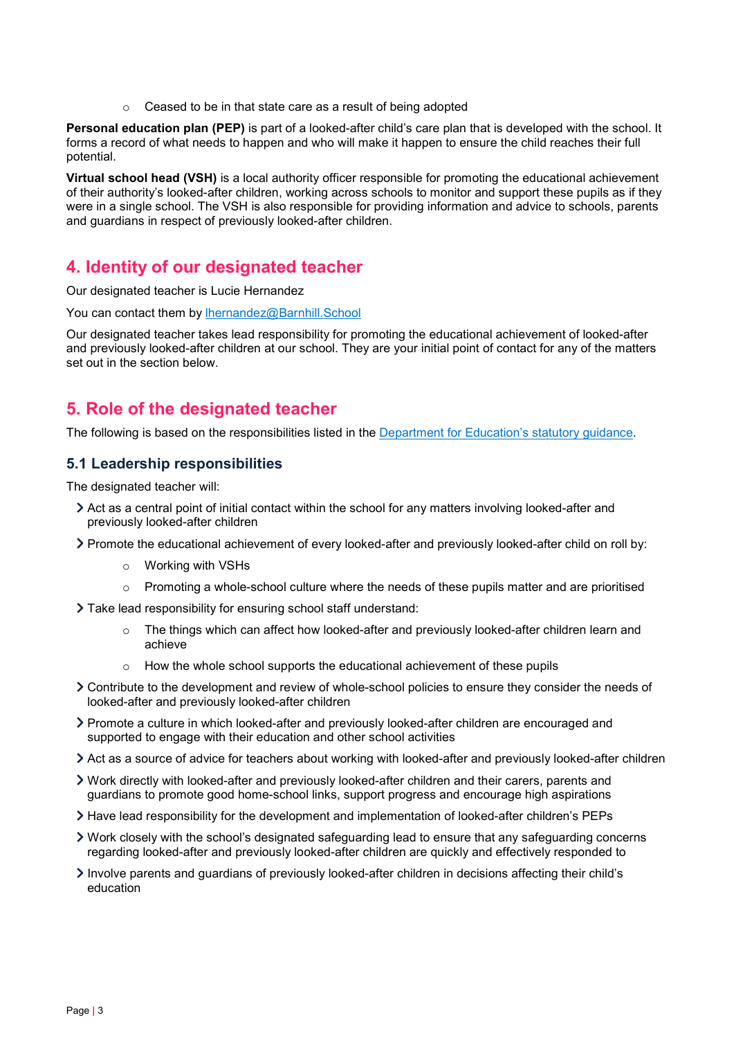Ceased to be in that state care as a result of being adopted

Personal education plan (PEP) is part of a looked-after child's care plan that is developed with the school. It forms a record of what needs to happen and who will make it happen to ensure the child reaches their full potential.

Virtual school head (VSH) is a local authority officer responsible for promoting the educational achievement of their authority's looked-after children, working across schools to monitor and support these pupils as if they were in a single school. The VSH is also responsible for providing information and advice to schools, parents and guardians in respect of previously looked-after children.

## 4. Identity of our designated teacher

Our designated teacher is Lucie Hernandez

You can contact them by Ihernandez@Barnhill.School

Our designated teacher takes lead responsibility for promoting the educational achievement of looked-after and previously looked-after children at our school. They are your initial point of contact for any of the matters set out in the section below.

## 5. Role of the designated teacher

The following is based on the responsibilities listed in the Department for Education's statutory guidance.

## 5.1 Leadership responsibilities

The designated teacher will:

- Act as a central point of initial contact within the school for any matters involving looked-after and previously looked-after children
- Promote the educational achievement of every looked-after and previously looked-after child on roll by:
	- o Working with VSHs
	- $\circ$  Promoting a whole-school culture where the needs of these pupils matter and are prioritised
- Take lead responsibility for ensuring school staff understand:
	- o The things which can affect how looked-after and previously looked-after children learn and achieve
	- o How the whole school supports the educational achievement of these pupils
- Contribute to the development and review of whole-school policies to ensure they consider the needs of looked-after and previously looked-after children
- Promote a culture in which looked-after and previously looked-after children are encouraged and supported to engage with their education and other school activities
- Act as a source of advice for teachers about working with looked-after and previously looked-after children
- Work directly with looked-after and previously looked-after children and their carers, parents and guardians to promote good home-school links, support progress and encourage high aspirations
- Have lead responsibility for the development and implementation of looked-after children's PEPs
- Work closely with the school's designated safeguarding lead to ensure that any safeguarding concerns regarding looked-after and previously looked-after children are quickly and effectively responded to
- Involve parents and guardians of previously looked-after children in decisions affecting their child's education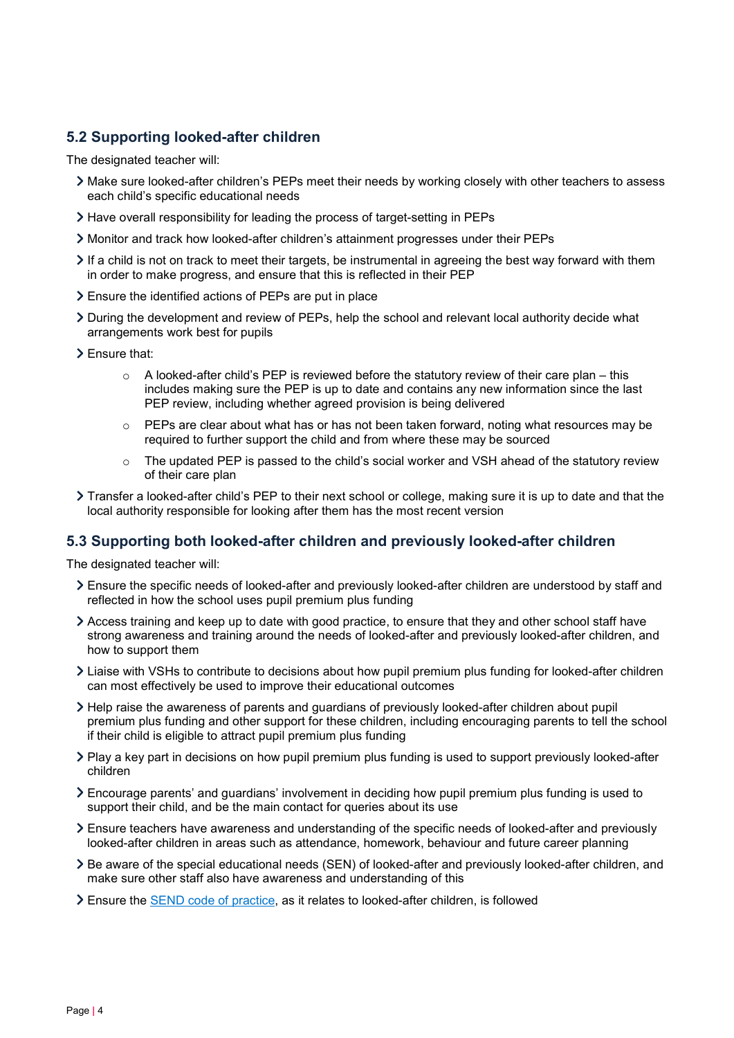## 5.2 Supporting looked-after children

The designated teacher will:

- Make sure looked-after children's PEPs meet their needs by working closely with other teachers to assess each child's specific educational needs
- Have overall responsibility for leading the process of target-setting in PEPs
- Monitor and track how looked-after children's attainment progresses under their PEPs
- If a child is not on track to meet their targets, be instrumental in agreeing the best way forward with them in order to make progress, and ensure that this is reflected in their PEP
- Ensure the identified actions of PEPs are put in place
- During the development and review of PEPs, help the school and relevant local authority decide what arrangements work best for pupils
- Ensure that:
	- $\circ$  A looked-after child's PEP is reviewed before the statutory review of their care plan this includes making sure the PEP is up to date and contains any new information since the last PEP review, including whether agreed provision is being delivered
	- $\circ$  PEPs are clear about what has or has not been taken forward, noting what resources may be required to further support the child and from where these may be sourced
	- $\circ$  The updated PEP is passed to the child's social worker and VSH ahead of the statutory review of their care plan
- Transfer a looked-after child's PEP to their next school or college, making sure it is up to date and that the local authority responsible for looking after them has the most recent version

#### 5.3 Supporting both looked-after children and previously looked-after children

The designated teacher will:

- Ensure the specific needs of looked-after and previously looked-after children are understood by staff and reflected in how the school uses pupil premium plus funding
- Access training and keep up to date with good practice, to ensure that they and other school staff have strong awareness and training around the needs of looked-after and previously looked-after children, and how to support them
- Liaise with VSHs to contribute to decisions about how pupil premium plus funding for looked-after children can most effectively be used to improve their educational outcomes
- Help raise the awareness of parents and guardians of previously looked-after children about pupil premium plus funding and other support for these children, including encouraging parents to tell the school if their child is eligible to attract pupil premium plus funding
- Play a key part in decisions on how pupil premium plus funding is used to support previously looked-after children
- Encourage parents' and guardians' involvement in deciding how pupil premium plus funding is used to support their child, and be the main contact for queries about its use
- Ensure teachers have awareness and understanding of the specific needs of looked-after and previously looked-after children in areas such as attendance, homework, behaviour and future career planning
- Be aware of the special educational needs (SEN) of looked-after and previously looked-after children, and make sure other staff also have awareness and understanding of this
- Ensure the SEND code of practice, as it relates to looked-after children, is followed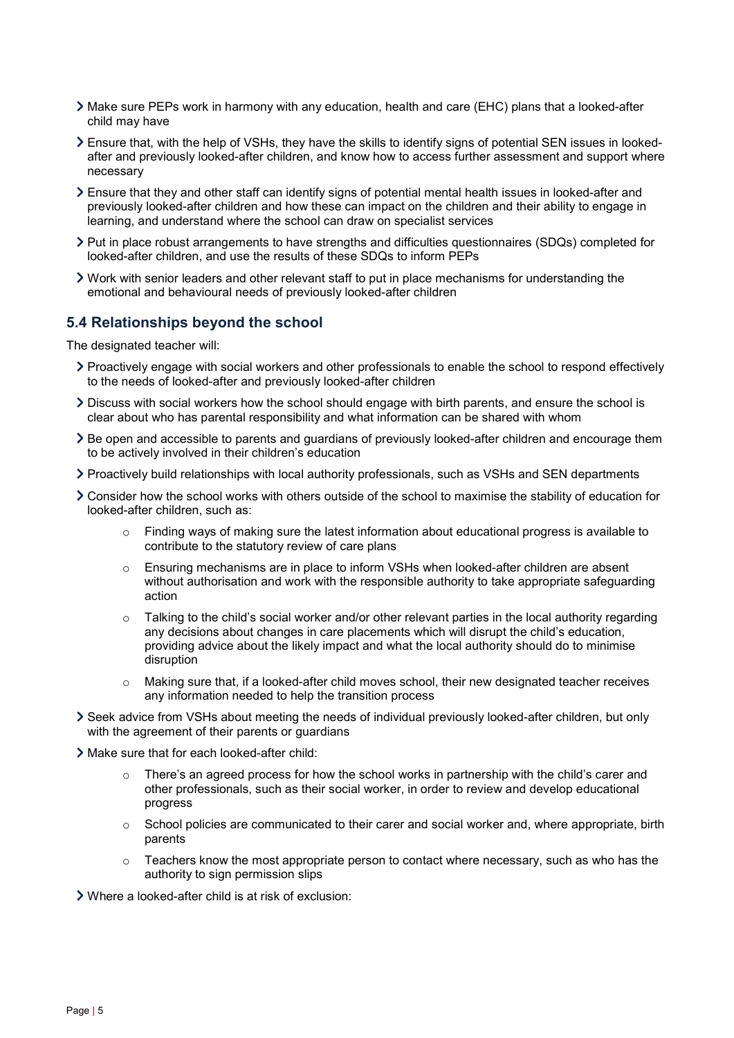- Make sure PEPs work in harmony with any education, health and care (EHC) plans that a looked-after child may have
- Ensure that, with the help of VSHs, they have the skills to identify signs of potential SEN issues in lookedafter and previously looked-after children, and know how to access further assessment and support where necessary
- Ensure that they and other staff can identify signs of potential mental health issues in looked-after and previously looked-after children and how these can impact on the children and their ability to engage in learning, and understand where the school can draw on specialist services
- Put in place robust arrangements to have strengths and difficulties questionnaires (SDQs) completed for looked-after children, and use the results of these SDQs to inform PEPs
- Work with senior leaders and other relevant staff to put in place mechanisms for understanding the emotional and behavioural needs of previously looked-after children

#### 5.4 Relationships beyond the school

The designated teacher will:

- Proactively engage with social workers and other professionals to enable the school to respond effectively to the needs of looked-after and previously looked-after children
- Discuss with social workers how the school should engage with birth parents, and ensure the school is clear about who has parental responsibility and what information can be shared with whom
- Be open and accessible to parents and guardians of previously looked-after children and encourage them to be actively involved in their children's education
- Proactively build relationships with local authority professionals, such as VSHs and SEN departments
- Consider how the school works with others outside of the school to maximise the stability of education for looked-after children, such as:
	- $\circ$  Finding ways of making sure the latest information about educational progress is available to contribute to the statutory review of care plans
	- $\circ$  Ensuring mechanisms are in place to inform VSHs when looked-after children are absent without authorisation and work with the responsible authority to take appropriate safeguarding action
	- o Talking to the child's social worker and/or other relevant parties in the local authority regarding any decisions about changes in care placements which will disrupt the child's education, providing advice about the likely impact and what the local authority should do to minimise disruption
	- $\circ$  Making sure that, if a looked-after child moves school, their new designated teacher receives any information needed to help the transition process
- Seek advice from VSHs about meeting the needs of individual previously looked-after children, but only with the agreement of their parents or guardians
- Make sure that for each looked-after child:
	- $\circ$  There's an agreed process for how the school works in partnership with the child's carer and other professionals, such as their social worker, in order to review and develop educational progress
	- $\circ$  School policies are communicated to their carer and social worker and, where appropriate, birth parents
	- $\circ$  Teachers know the most appropriate person to contact where necessary, such as who has the authority to sign permission slips

Where a looked-after child is at risk of exclusion: